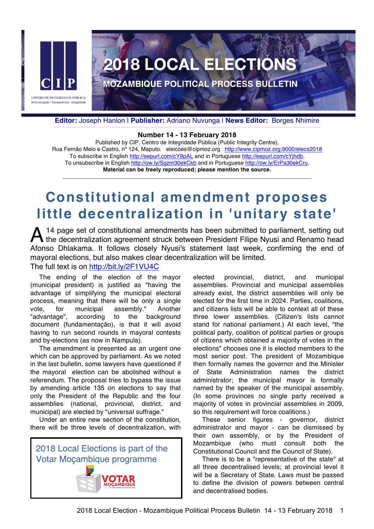

**Editor:** Joseph Hanlon | **Publisher:** Adriano Nuvunga | **News Editor:** Borges Nhimire \_\_\_\_\_\_\_\_\_\_\_\_\_\_\_\_\_\_\_\_\_\_\_\_\_\_\_\_\_\_\_\_\_\_\_\_\_\_\_\_\_\_\_\_\_\_\_\_\_\_\_\_\_\_\_\_\_\_\_\_\_\_\_\_\_\_\_\_\_\_\_\_\_\_\_\_\_\_\_\_\_\_\_\_\_\_\_\_\_\_\_\_\_\_\_\_\_\_\_\_\_\_\_\_\_\_\_\_\_\_\_\_\_\_\_\_\_\_\_\_\_\_\_\_\_\_\_\_\_\_\_\_\_\_\_\_\_\_\_\_\_\_\_\_\_\_\_\_\_\_\_\_\_\_\_\_\_\_\_\_\_\_\_\_\_\_\_\_\_\_\_\_\_\_\_\_\_\_\_\_\_\_\_\_\_\_\_\_\_\_\_

#### **Number 14 - 13 February 2018**

Published by CIP, Centro de Integridade Pública (Public Integrity Centre), Rua Fernão Melo e Castro, nº 124, Maputo. eleicoes@cipmoz.org http://www.cipmoz.org:9000/elecs2018 To subscribe in English http://eepurl.com/cY9pAL and in Portuguese http://eepurl.com/cYjhdb. To unsubscribe in English http://ow.ly/Sgzm30ekCkb and in Portuguese http://ow.ly/ErPa30ekCru. **Material can be freely reproduced; please mention the source.**

\_\_\_\_\_\_\_\_\_\_\_\_\_\_\_\_\_\_\_\_\_\_\_\_\_\_\_\_\_\_\_\_\_\_\_\_\_\_\_\_\_\_\_\_\_\_\_\_\_\_\_\_\_\_\_\_\_\_\_\_\_\_\_\_\_\_\_\_\_\_\_\_\_\_\_\_\_\_\_

# **Constitutional amendment proposes little decentralization in 'unitary state'**

14 page set of constitutional amendments has been submitted to parliament, setting out A 14 page set of constitutional amendments has been submitted to parliament, setting out the decentralization agreement struck between President Filipe Nyusi and Renamo head Afonso Dhlakama. It follows closely Nyusi's statement last week, confirming the end of mayoral elections, but also makes clear decentralization will be limited. The full text is on http://bit.ly/2F1VU4C

The ending of the election of the mayor (municipal president) is justified as "having the advantage of simplifying the municipal electoral process, meaning that there will be only a single vote, for municipal assembly." Another "advantage", according to the background document (fundamentação), is that it will avoid having to run second rounds in mayoral contests and by-elections (as now in Nampula).

The amendment is presented as an urgent one which can be approved by parliament. As we noted in the last bulletin, some lawyers have questioned if the mayoral election can be abolished without a referendum. The proposal tries to bypass the issue by amending article 135 on elections to say that only the President of the Republic and the four assemblies (national, provincial, district, and municipal) are elected by "universal suffrage."

Under an entire new section of the constitution, there will be three levels of decentralization, with



elected provincial, district, and municipal assemblies. Provincial and municipal assemblies already exist, the district assemblies will only be elected for the first time in 2024. Parties, coalitions, and citizens lists will be able to context all of these three lower assemblies. (Citizen's lists cannot stand for national parliament.) At each level, "the political party, coalition of political parties or groups of citizens which obtained a majority of votes in the elections" chooses one it is elected members to the most senior post. The president of Mozambique then formally names the governor and the Minister of State Administration names the district administrator; the municipal mayor is formally named by the speaker of the municipal assembly. (In some provinces no single party received a majority of votes in provincial assemblies in 2009, so this requirement will force coalitions.)

These senior figures - governor, district administrator and mayor - can be dismissed by their own assembly, or by the President of Mozambique (who must consult both the Constitutional Council and the Council of State).

There is to be a "representative of the state" at all three decentralised levels; at provincial level it will be a Secretary of State. Laws must be passed to define the division of powers between central and decentralised bodies.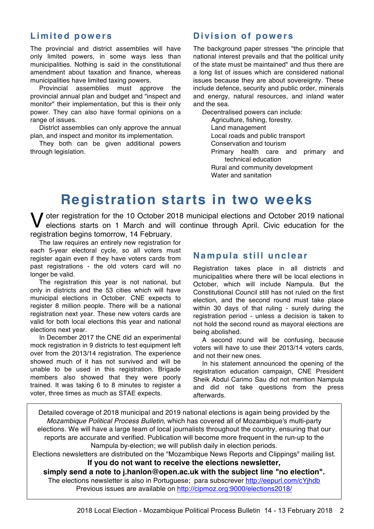### **Limited powers**

The provincial and district assemblies will have only limited powers, in some ways less than municipalities. Nothing is said in the constitutional amendment about taxation and finance, whereas municipalities have limited taxing powers.

Provincial assemblies must approve the provincial annual plan and budget and "inspect and monitor" their implementation, but this is their only power. They can also have formal opinions on a range of issues.

District assemblies can only approve the annual plan, and inspect and monitor its implementation.

They both can be given additional powers through legislation.

## **Division of powers**

The background paper stresses "the principle that national interest prevails and that the political unity of the state must be maintained" and thus there are a long list of issues which are considered national issues because they are about sovereignty. These include defence, security and public order, minerals and energy, natural resources, and inland water and the sea.

Decentralised powers can include:

Agriculture, fishing, forestry.

Land management Local roads and public transport Conservation and tourism Primary health care and primary and technical education Rural and community development Water and sanitation

# **Registration starts in two weeks**

V oter registration for the 10 October 2018 municipal elections and October 2019 national<br>elections starts on 1 March and will continue through April. Civic education for the elections starts on 1 March and will continue through April. Civic education for the registration begins tomorrow, 14 February.

The law requires an entirely new registration for each 5-year electoral cycle, so all voters must register again even if they have voters cards from past registrations - the old voters card will no longer be valid.

The registration this year is not national, but only in districts and the 53 cities which will have municipal elections in October. CNE expects to register 8 million people. There will be a national registration next year. These new voters cards are valid for both local elections this year and national elections next year.

In December 2017 the CNE did an experimental mock registration in 9 districts to test equipment left over from the 2013/14 registration. The experience showed much of it has not survived and will be unable to be used in this registration. Brigade members also showed that they were poorly trained. It was taking 6 to 8 minutes to register a voter, three times as much as STAE expects.

#### **Nampula still unclear**

Registration takes place in all districts and municipalities where there will be local elections in October, which will include Nampula. But the Constitutional Council still has not ruled on the first election, and the second round must take place within 30 days of that ruling - surely during the registration period - unless a decision is taken to not hold the second round as mayoral elections are being abolished.

A second round will be confusing, because voters will have to use their 2013/14 voters cards, and not their new ones.

In his statement announced the opening of the registration education campaign, CNE President Sheik Abdul Carimo Sau did not mention Nampula and did not take questions from the press afterwards.

Detailed coverage of 2018 municipal and 2019 national elections is again being provided by the *Mozambique Political Process Bulletin*, which has covered all of Mozambique's multi-party elections. We will have a large team of local journalists throughout the country, ensuring that our reports are accurate and verified. Publication will become more frequent in the run-up to the Nampula by-election; we will publish daily in election periods.

Elections newsletters are distributed on the "Mozambique News Reports and Clippings" mailing list. **If you do not want to receive the elections newsletter,**

**simply send a note to j.hanlon@open.ac.uk with the subject line "no election".** The elections newsletter is also in Portuguese; para subscrever http://eepurl.com/cYjhdb Previous issues are available on http://cipmoz.org:9000/elections2018/